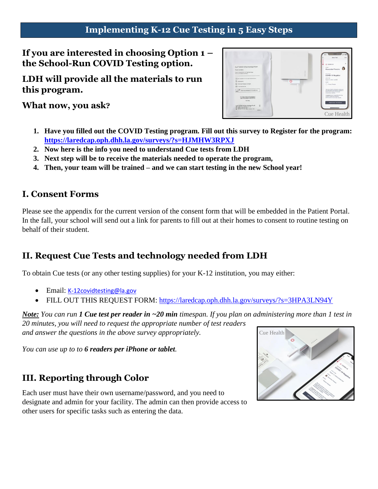### **Implementing K-12 Cue Testing in 5 Easy Steps**

**If you are interested in choosing Option 1 – the School-Run COVID Testing option.**

**LDH will provide all the materials to run this program.**

**What now, you ask?**



- **1. Have you filled out the COVID Testing program. Fill out this survey to Register for the program: <https://laredcap.oph.dhh.la.gov/surveys/?s=HJMHW3RPXJ>**
- **2. Now here is the info you need to understand Cue tests from LDH**
- **3. Next step will be to receive the materials needed to operate the program,**
- **4. Then, your team will be trained – and we can start testing in the new School year!**

### **I. Consent Forms**

Please see the appendix for the current version of the consent form that will be embedded in the Patient Portal. In the fall, your school will send out a link for parents to fill out at their homes to consent to routine testing on behalf of their student.

### **II. Request Cue Tests and technology needed from LDH**

To obtain Cue tests (or any other testing supplies) for your K-12 institution, you may either:

- Email: [K-12covidtesting@la.gov](mailto:K-12covidtesting@la.gov)
- FILL OUT THIS REQUEST FORM:<https://laredcap.oph.dhh.la.gov/surveys/?s=3HPA3LN94Y>

*Note: You can run 1 Cue test per reader in ~20 min timespan. If you plan on administering more than 1 test in 20 minutes, you will need to request the appropriate number of test readers and answer the questions in the above survey appropriately.*

*You can use up to to 6 readers per iPhone or tablet.* 

### **III. Reporting through Color**

Each user must have their own username/password, and you need to designate and admin for your facility. The admin can then provide access to other users for specific tasks such as entering the data.

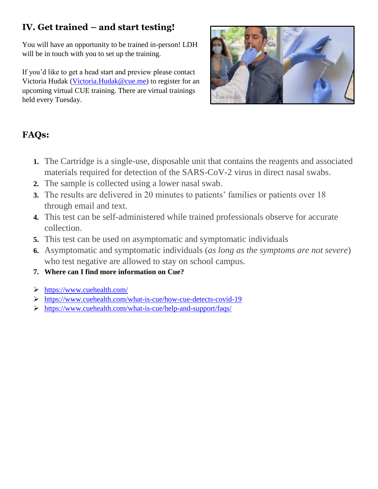# **IV. Get trained – and start testing!**

You will have an opportunity to be trained in-person! LDH will be in touch with you to set up the training.

If you'd like to get a head start and preview please contact Victoria Hudak [\(Victoria.Hudak@cue.me\)](mailto:Victoria.Hudak@cue.me) to register for an upcoming virtual CUE training. There are virtual trainings held every Tuesday.



# **FAQs:**

- **1.** The Cartridge is a single-use, disposable unit that contains the reagents and associated materials required for detection of the SARS-CoV-2 virus in direct nasal swabs.
- **2.** The sample is collected using a lower nasal swab.
- **3.** The results are delivered in 20 minutes to patients' families or patients over 18 through email and text.
- **4.** This test can be self-administered while trained professionals observe for accurate collection.
- **5.** This test can be used on asymptomatic and symptomatic individuals
- **6.** Asymptomatic and symptomatic individuals (*as long as the symptoms are not severe*) who test negative are allowed to stay on school campus.
- **7. Where can I find more information on Cue?**
- <https://www.cuehealth.com/>
- <https://www.cuehealth.com/what-is-cue/how-cue-detects-covid-19>
- <https://www.cuehealth.com/what-is-cue/help-and-support/faqs/>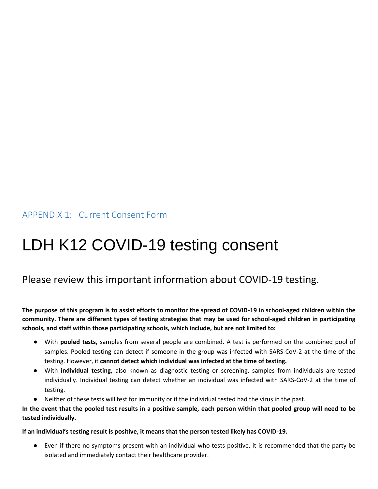APPENDIX 1: Current Consent Form

# LDH K12 COVID-19 testing consent

## Please review this important information about COVID-19 testing.

**The purpose of this program is to assist efforts to monitor the spread of COVID-19 in school-aged children within the community. There are different types of testing strategies that may be used for school-aged children in participating schools, and staff within those participating schools, which include, but are not limited to:** 

- With **pooled tests,** samples from several people are combined. A test is performed on the combined pool of samples. Pooled testing can detect if someone in the group was infected with SARS-CoV-2 at the time of the testing. However, it **cannot detect which individual was infected at the time of testing.**
- With **individual testing,** also known as diagnostic testing or screening, samples from individuals are tested individually. Individual testing can detect whether an individual was infected with SARS-CoV-2 at the time of testing.
- Neither of these tests will test for immunity or if the individual tested had the virus in the past.

**In the event that the pooled test results in a positive sample, each person within that pooled group will need to be tested individually.**

#### **If an individual's testing result is positive, it means that the person tested likely has COVID-19.**

● Even if there no symptoms present with an individual who tests positive, it is recommended that the party be isolated and immediately contact their healthcare provider.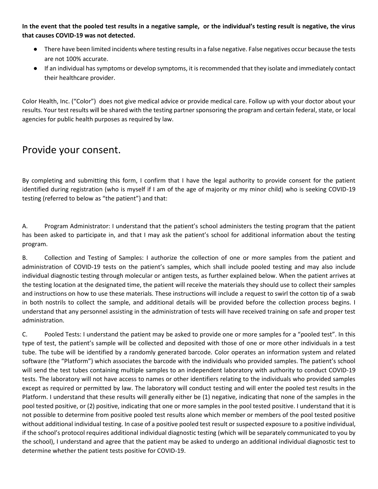**In the event that the pooled test results in a negative sample, or the individual's testing result is negative, the virus that causes COVID-19 was not detected.**

- There have been limited incidents where testing results in a false negative. False negatives occur because the tests are not 100% accurate.
- If an individual has symptoms or develop symptoms, it is recommended that they isolate and immediately contact their healthcare provider.

Color Health, Inc. ("Color") does not give medical advice or provide medical care. Follow up with your doctor about your results. Your test results will be shared with the testing partner sponsoring the program and certain federal, state, or local agencies for public health purposes as required by law.

## Provide your consent.

By completing and submitting this form, I confirm that I have the legal authority to provide consent for the patient identified during registration (who is myself if I am of the age of majority or my minor child) who is seeking COVID-19 testing (referred to below as "the patient") and that:

A. Program Administrator: I understand that the patient's school administers the testing program that the patient has been asked to participate in, and that I may ask the patient's school for additional information about the testing program.

B. Collection and Testing of Samples: I authorize the collection of one or more samples from the patient and administration of COVID-19 tests on the patient's samples, which shall include pooled testing and may also include individual diagnostic testing through molecular or antigen tests, as further explained below. When the patient arrives at the testing location at the designated time, the patient will receive the materials they should use to collect their samples and instructions on how to use these materials. These instructions will include a request to swirl the cotton tip of a swab in both nostrils to collect the sample, and additional details will be provided before the collection process begins. I understand that any personnel assisting in the administration of tests will have received training on safe and proper test administration.

C. Pooled Tests: I understand the patient may be asked to provide one or more samples for a "pooled test". In this type of test, the patient's sample will be collected and deposited with those of one or more other individuals in a test tube. The tube will be identified by a randomly generated barcode. Color operates an information system and related software (the "Platform") which associates the barcode with the individuals who provided samples. The patient's school will send the test tubes containing multiple samples to an independent laboratory with authority to conduct COVID-19 tests. The laboratory will not have access to names or other identifiers relating to the individuals who provided samples except as required or permitted by law. The laboratory will conduct testing and will enter the pooled test results in the Platform. I understand that these results will generally either be (1) negative, indicating that none of the samples in the pool tested positive, or (2) positive, indicating that one or more samples in the pool tested positive. I understand that it is not possible to determine from positive pooled test results alone which member or members of the pool tested positive without additional individual testing. In case of a positive pooled test result or suspected exposure to a positive individual, if the school's protocol requires additional individual diagnostic testing (which will be separately communicated to you by the school), I understand and agree that the patient may be asked to undergo an additional individual diagnostic test to determine whether the patient tests positive for COVID-19.